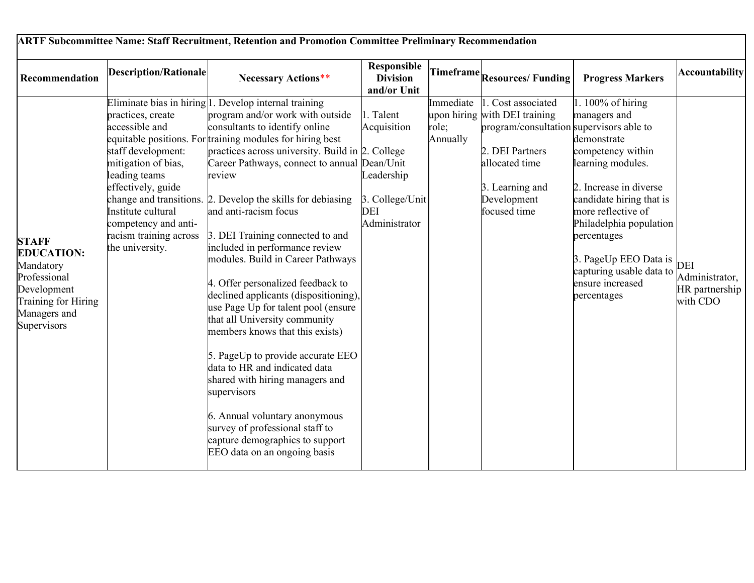| Recommendation                                                                                                                      | <b>Description/Rationale</b>                                                                                                                                                                                       | <b>Necessary Actions**</b>                                                                                                                                                                                                                                                                                                                                                                                                                                                                                                                                                                                                                                                                                                                                                                                                                                                                                                                                            | Responsible<br><b>Division</b><br>and/or Unit                                     |                                | Timeframe Resources/Funding                                                                                                                                                            | <b>Progress Markers</b>                                                                                                                                                                                                                                                                                     | <b>Accountability</b>                               |
|-------------------------------------------------------------------------------------------------------------------------------------|--------------------------------------------------------------------------------------------------------------------------------------------------------------------------------------------------------------------|-----------------------------------------------------------------------------------------------------------------------------------------------------------------------------------------------------------------------------------------------------------------------------------------------------------------------------------------------------------------------------------------------------------------------------------------------------------------------------------------------------------------------------------------------------------------------------------------------------------------------------------------------------------------------------------------------------------------------------------------------------------------------------------------------------------------------------------------------------------------------------------------------------------------------------------------------------------------------|-----------------------------------------------------------------------------------|--------------------------------|----------------------------------------------------------------------------------------------------------------------------------------------------------------------------------------|-------------------------------------------------------------------------------------------------------------------------------------------------------------------------------------------------------------------------------------------------------------------------------------------------------------|-----------------------------------------------------|
| <b>STAFF</b><br><b>EDUCATION:</b><br>Mandatory<br>Professional<br>Development<br>Training for Hiring<br>Managers and<br>Supervisors | practices, create<br>accessible and<br>staff development:<br>mitigation of bias,<br>leading teams<br>effectively, guide<br>Institute cultural<br>competency and anti-<br>racism training across<br>the university. | Eliminate bias in hiring $ 1$ . Develop internal training<br>program and/or work with outside<br>consultants to identify online<br>equitable positions. For training modules for hiring best<br>practices across university. Build in 2. College<br>Career Pathways, connect to annual Dean/Unit<br>review<br>change and transitions. 2. Develop the skills for debiasing<br>and anti-racism focus<br>3. DEI Training connected to and<br>included in performance review<br>modules. Build in Career Pathways<br>4. Offer personalized feedback to<br>declined applicants (dispositioning),<br>use Page Up for talent pool (ensure<br>that all University community<br>members knows that this exists)<br>5. PageUp to provide accurate EEO<br>data to HR and indicated data<br>shared with hiring managers and<br>supervisors<br>6. Annual voluntary anonymous<br>survey of professional staff to<br>capture demographics to support<br>EEO data on an ongoing basis | 1. Talent<br>Acquisition<br>Leadership<br>3. College/Unit<br>DEI<br>Administrator | Immediate<br>role;<br>Annually | 1. Cost associated<br>upon hiring with DEI training<br>program/consultation supervisors able to<br>2. DEI Partners<br>allocated time<br>3. Learning and<br>Development<br>focused time | 1. $100\%$ of hiring<br>managers and<br>demonstrate<br>competency within<br>learning modules.<br>2. Increase in diverse<br>candidate hiring that is<br>more reflective of<br>Philadelphia population<br>percentages<br>3. PageUp EEO Data is<br>capturing usable data to<br>ensure increased<br>percentages | DEI<br>Administrator,<br>HR partnership<br>with CDO |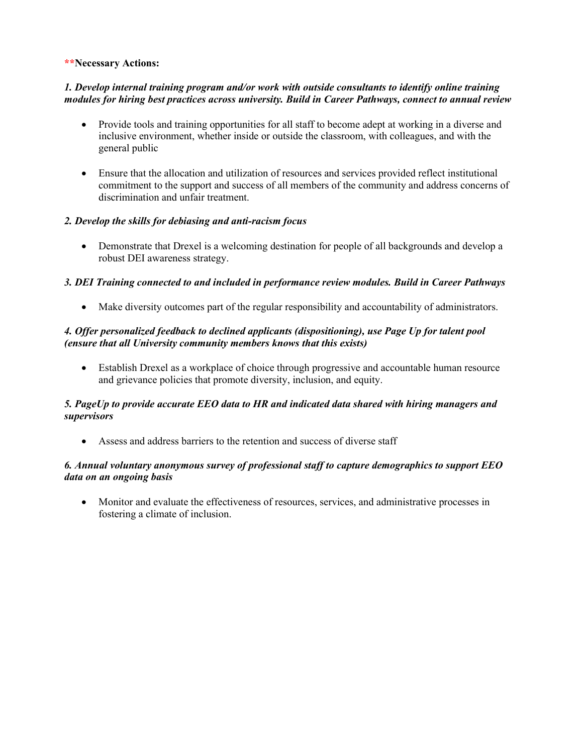#### **\*\*Necessary Actions:**

### *1. Develop internal training program and/or work with outside consultants to identify online training modules for hiring best practices across university. Build in Career Pathways, connect to annual review*

- Provide tools and training opportunities for all staff to become adept at working in a diverse and inclusive environment, whether inside or outside the classroom, with colleagues, and with the general public
- Ensure that the allocation and utilization of resources and services provided reflect institutional commitment to the support and success of all members of the community and address concerns of discrimination and unfair treatment.

### *2. Develop the skills for debiasing and anti-racism focus*

• Demonstrate that Drexel is a welcoming destination for people of all backgrounds and develop a robust DEI awareness strategy.

### *3. DEI Training connected to and included in performance review modules. Build in Career Pathways*

• Make diversity outcomes part of the regular responsibility and accountability of administrators.

#### *4. Offer personalized feedback to declined applicants (dispositioning), use Page Up for talent pool (ensure that all University community members knows that this exists)*

• Establish Drexel as a workplace of choice through progressive and accountable human resource and grievance policies that promote diversity, inclusion, and equity.

#### *5. PageUp to provide accurate EEO data to HR and indicated data shared with hiring managers and supervisors*

• Assess and address barriers to the retention and success of diverse staff

### *6. Annual voluntary anonymous survey of professional staff to capture demographics to support EEO data on an ongoing basis*

• Monitor and evaluate the effectiveness of resources, services, and administrative processes in fostering a climate of inclusion.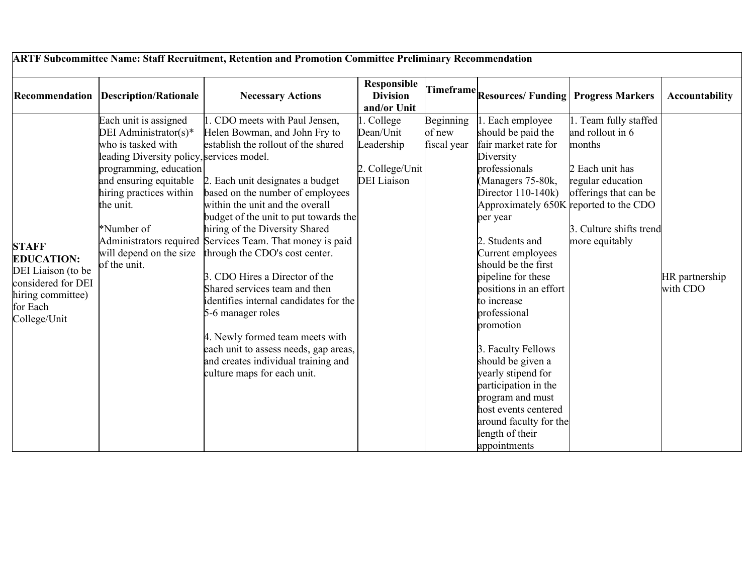| ARTF Subcommittee Name: Staff Recruitment, Retention and Promotion Committee Preliminary Recommendation                        |                                                                                                                                                                                                                                                                        |                                                                                                                                                                                                                                                                                                                                                                                                                                                                                                                                                                                                                                                                                 |                                                                             |                                    |                                                                                                                                                                                                                                                                                                                                                                                                                                                                                                                                                         |                                                                                                                                                                  |                            |  |  |  |
|--------------------------------------------------------------------------------------------------------------------------------|------------------------------------------------------------------------------------------------------------------------------------------------------------------------------------------------------------------------------------------------------------------------|---------------------------------------------------------------------------------------------------------------------------------------------------------------------------------------------------------------------------------------------------------------------------------------------------------------------------------------------------------------------------------------------------------------------------------------------------------------------------------------------------------------------------------------------------------------------------------------------------------------------------------------------------------------------------------|-----------------------------------------------------------------------------|------------------------------------|---------------------------------------------------------------------------------------------------------------------------------------------------------------------------------------------------------------------------------------------------------------------------------------------------------------------------------------------------------------------------------------------------------------------------------------------------------------------------------------------------------------------------------------------------------|------------------------------------------------------------------------------------------------------------------------------------------------------------------|----------------------------|--|--|--|
|                                                                                                                                | <b>Recommendation Description/Rationale</b>                                                                                                                                                                                                                            | <b>Necessary Actions</b>                                                                                                                                                                                                                                                                                                                                                                                                                                                                                                                                                                                                                                                        | <b>Responsible</b><br><b>Division</b><br>and/or Unit                        |                                    | Timeframe Resources/ Funding Progress Markers                                                                                                                                                                                                                                                                                                                                                                                                                                                                                                           |                                                                                                                                                                  | <b>Accountability</b>      |  |  |  |
| <b>STAFF</b><br><b>EDUCATION:</b><br>DEI Liaison (to be<br>considered for DEI<br>hiring committee)<br>for Each<br>College/Unit | Each unit is assigned<br>DEI Administrator(s)*<br>who is tasked with<br>leading Diversity policy, services model.<br>programming, education<br>and ensuring equitable<br>hiring practices within<br>the unit.<br>*Number of<br>will depend on the size<br>of the unit. | 1. CDO meets with Paul Jensen,<br>Helen Bowman, and John Fry to<br>establish the rollout of the shared<br>2. Each unit designates a budget<br>based on the number of employees<br>within the unit and the overall<br>budget of the unit to put towards the<br>hiring of the Diversity Shared<br>Administrators required Services Team. That money is paid<br>through the CDO's cost center.<br>3. CDO Hires a Director of the<br>Shared services team and then<br>identifies internal candidates for the<br>5-6 manager roles<br>4. Newly formed team meets with<br>each unit to assess needs, gap areas,<br>and creates individual training and<br>culture maps for each unit. | College<br>Dean/Unit<br>Leadership<br>2. College/Unit<br><b>DEI</b> Liaison | Beginning<br>of new<br>fiscal year | Each employee<br>should be paid the<br>fair market rate for<br>Diversity<br>professionals<br>(Managers 75-80k,<br>Director 110-140k)<br>Approximately 650K reported to the CDO<br>per year<br>2. Students and<br>Current employees<br>should be the first<br>pipeline for these<br>positions in an effort<br>to increase<br>professional<br>promotion<br>3. Faculty Fellows<br>should be given a<br>yearly stipend for<br>participation in the<br>program and must<br>host events centered<br>around faculty for the<br>length of their<br>appointments | . Team fully staffed<br>and rollout in 6<br>months<br>2 Each unit has<br>regular education<br>offerings that can be<br>3. Culture shifts trend<br>more equitably | HR partnership<br>with CDO |  |  |  |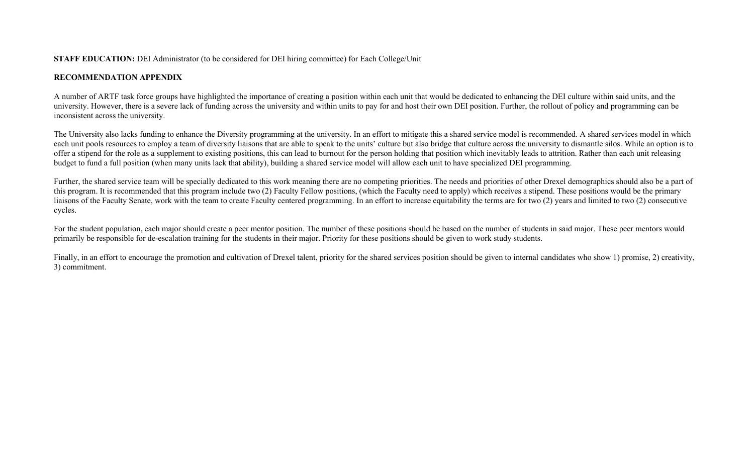### **STAFF EDUCATION:** DEI Administrator (to be considered for DEI hiring committee) for Each College/Unit

## **RECOMMENDATION APPENDIX**

A number of ARTF task force groups have highlighted the importance of creating a position within each unit that would be dedicated to enhancing the DEI culture within said units, and the university. However, there is a severe lack of funding across the university and within units to pay for and host their own DEI position. Further, the rollout of policy and programming can be inconsistent across the university.

The University also lacks funding to enhance the Diversity programming at the university. In an effort to mitigate this a shared service model is recommended. A shared services model in which each unit pools resources to employ a team of diversity liaisons that are able to speak to the units' culture but also bridge that culture across the university to dismantle silos. While an option is to offer a stipend for the role as a supplement to existing positions, this can lead to burnout for the person holding that position which inevitably leads to attrition. Rather than each unit releasing budget to fund a full position (when many units lack that ability), building a shared service model will allow each unit to have specialized DEI programming.

Further, the shared service team will be specially dedicated to this work meaning there are no competing priorities. The needs and priorities of other Drexel demographics should also be a part of this program. It is recommended that this program include two (2) Faculty Fellow positions, (which the Faculty need to apply) which receives a stipend. These positions would be the primary liaisons of the Faculty Senate, work with the team to create Faculty centered programming. In an effort to increase equitability the terms are for two (2) years and limited to two (2) consecutive cycles.

For the student population, each major should create a peer mentor position. The number of these positions should be based on the number of students in said major. These peer mentors would primarily be responsible for de-escalation training for the students in their major. Priority for these positions should be given to work study students.

Finally, in an effort to encourage the promotion and cultivation of Drexel talent, priority for the shared services position should be given to internal candidates who show 1) promise, 2) creativity, 3) commitment.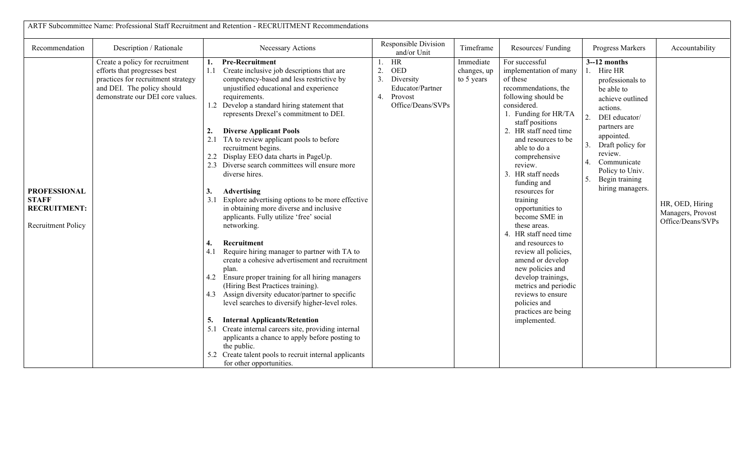| ARTF Subcommittee Name: Professional Staff Recruitment and Retention - RECRUITMENT Recommendations |                                                                                                                                                                         |                                                                                                                                                                                                                                                                                                                                                                                                                                                                                                                                                                                                                                                                                                                                                                                                                                                                                                                                                                                                                                                                                                                                                                                                                                                                                                            |                                                                                                  |                                        |                                                                                                                                                                                                                                                                                                                                                                                                                                                                                                                                                                                                                        |                                                                                                                                                                                                                                                                             |                                                           |  |  |  |  |
|----------------------------------------------------------------------------------------------------|-------------------------------------------------------------------------------------------------------------------------------------------------------------------------|------------------------------------------------------------------------------------------------------------------------------------------------------------------------------------------------------------------------------------------------------------------------------------------------------------------------------------------------------------------------------------------------------------------------------------------------------------------------------------------------------------------------------------------------------------------------------------------------------------------------------------------------------------------------------------------------------------------------------------------------------------------------------------------------------------------------------------------------------------------------------------------------------------------------------------------------------------------------------------------------------------------------------------------------------------------------------------------------------------------------------------------------------------------------------------------------------------------------------------------------------------------------------------------------------------|--------------------------------------------------------------------------------------------------|----------------------------------------|------------------------------------------------------------------------------------------------------------------------------------------------------------------------------------------------------------------------------------------------------------------------------------------------------------------------------------------------------------------------------------------------------------------------------------------------------------------------------------------------------------------------------------------------------------------------------------------------------------------------|-----------------------------------------------------------------------------------------------------------------------------------------------------------------------------------------------------------------------------------------------------------------------------|-----------------------------------------------------------|--|--|--|--|
| Recommendation                                                                                     | Description / Rationale                                                                                                                                                 | Necessary Actions                                                                                                                                                                                                                                                                                                                                                                                                                                                                                                                                                                                                                                                                                                                                                                                                                                                                                                                                                                                                                                                                                                                                                                                                                                                                                          | Responsible Division<br>and/or Unit                                                              | Timeframe                              | Resources/Funding                                                                                                                                                                                                                                                                                                                                                                                                                                                                                                                                                                                                      | Progress Markers                                                                                                                                                                                                                                                            | Accountability                                            |  |  |  |  |
| <b>PROFESSIONAL</b><br><b>STAFF</b><br><b>RECRUITMENT:</b><br><b>Recruitment Policy</b>            | Create a policy for recruitment<br>efforts that progresses best<br>practices for recruitment strategy<br>and DEI. The policy should<br>demonstrate our DEI core values. | <b>Pre-Recruitment</b><br>1.<br>Create inclusive job descriptions that are<br>1.1<br>competency-based and less restrictive by<br>unjustified educational and experience<br>requirements.<br>1.2 Develop a standard hiring statement that<br>represents Drexel's commitment to DEI.<br><b>Diverse Applicant Pools</b><br>2.<br>2.1 TA to review applicant pools to before<br>recruitment begins.<br>2.2 Display EEO data charts in PageUp.<br>2.3 Diverse search committees will ensure more<br>diverse hires.<br>3.<br>Advertising<br>3.1 Explore advertising options to be more effective<br>in obtaining more diverse and inclusive<br>applicants. Fully utilize 'free' social<br>networking.<br>Recruitment<br>4.<br>4.1<br>Require hiring manager to partner with TA to<br>create a cohesive advertisement and recruitment<br>plan.<br>4.2 Ensure proper training for all hiring managers<br>(Hiring Best Practices training).<br>Assign diversity educator/partner to specific<br>4.3<br>level searches to diversify higher-level roles.<br><b>Internal Applicants/Retention</b><br>5.<br>5.1 Create internal careers site, providing internal<br>applicants a chance to apply before posting to<br>the public.<br>5.2 Create talent pools to recruit internal applicants<br>for other opportunities. | HR<br>2.<br><b>OED</b><br>3. Diversity<br>Educator/Partner<br>4.<br>Provost<br>Office/Deans/SVPs | Immediate<br>changes, up<br>to 5 years | For successful<br>implementation of many<br>of these<br>recommendations, the<br>following should be<br>considered.<br>1. Funding for HR/TA<br>staff positions<br>2. HR staff need time<br>and resources to be<br>able to do a<br>comprehensive<br>review.<br>3. HR staff needs<br>funding and<br>resources for<br>training<br>opportunities to<br>become SME in<br>these areas.<br>4. HR staff need time<br>and resources to<br>review all policies,<br>amend or develop<br>new policies and<br>develop trainings,<br>metrics and periodic<br>reviews to ensure<br>policies and<br>practices are being<br>implemented. | $3-12$ months<br>1. Hire HR<br>professionals to<br>be able to<br>achieve outlined<br>actions.<br>2.<br>DEI educator/<br>partners are<br>appointed.<br>Draft policy for<br>3.<br>review.<br>Communicate<br>4.<br>Policy to Univ.<br>Begin training<br>5.<br>hiring managers. | HR, OED, Hiring<br>Managers, Provost<br>Office/Deans/SVPs |  |  |  |  |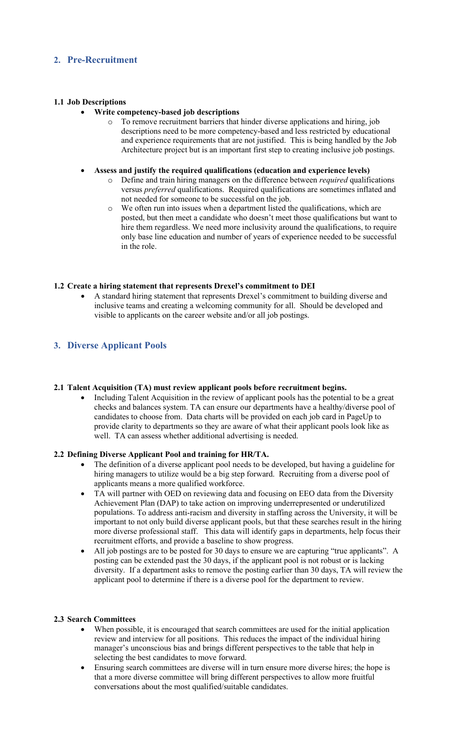## **2. Pre-Recruitment**

### **1.1 Job Descriptions**

#### • **Write competency-based job descriptions**

- o To remove recruitment barriers that hinder diverse applications and hiring, job descriptions need to be more competency-based and less restricted by educational and experience requirements that are not justified. This is being handled by the Job Architecture project but is an important first step to creating inclusive job postings.
- **Assess and justify the required qualifications (education and experience levels)**
	- o Define and train hiring managers on the difference between *required* qualifications versus *preferred* qualifications. Required qualifications are sometimes inflated and not needed for someone to be successful on the job.
	- We often run into issues when a department listed the qualifications, which are posted, but then meet a candidate who doesn't meet those qualifications but want to hire them regardless. We need more inclusivity around the qualifications, to require only base line education and number of years of experience needed to be successful in the role.

### **1.2 Create a hiring statement that represents Drexel's commitment to DEI**

• A standard hiring statement that represents Drexel's commitment to building diverse and inclusive teams and creating a welcoming community for all. Should be developed and visible to applicants on the career website and/or all job postings.

## **3. Diverse Applicant Pools**

#### **2.1 Talent Acquisition (TA) must review applicant pools before recruitment begins.**

• Including Talent Acquisition in the review of applicant pools has the potential to be a great checks and balances system. TA can ensure our departments have a healthy/diverse pool of candidates to choose from. Data charts will be provided on each job card in PageUp to provide clarity to departments so they are aware of what their applicant pools look like as well. TA can assess whether additional advertising is needed.

#### **2.2 Defining Diverse Applicant Pool and training for HR/TA.**

- The definition of a diverse applicant pool needs to be developed, but having a guideline for hiring managers to utilize would be a big step forward. Recruiting from a diverse pool of applicants means a more qualified workforce.
- TA will partner with OED on reviewing data and focusing on EEO data from the Diversity Achievement Plan (DAP) to take action on improving underrepresented or underutilized populations. To address anti-racism and diversity in staffing across the University, it will be important to not only build diverse applicant pools, but that these searches result in the hiring more diverse professional staff. This data will identify gaps in departments, help focus their recruitment efforts, and provide a baseline to show progress.
- All job postings are to be posted for 30 days to ensure we are capturing "true applicants". A posting can be extended past the 30 days, if the applicant pool is not robust or is lacking diversity. If a department asks to remove the posting earlier than 30 days, TA will review the applicant pool to determine if there is a diverse pool for the department to review.

#### **2.3 Search Committees**

- When possible, it is encouraged that search committees are used for the initial application review and interview for all positions. This reduces the impact of the individual hiring manager's unconscious bias and brings different perspectives to the table that help in selecting the best candidates to move forward.
- Ensuring search committees are diverse will in turn ensure more diverse hires; the hope is that a more diverse committee will bring different perspectives to allow more fruitful conversations about the most qualified/suitable candidates.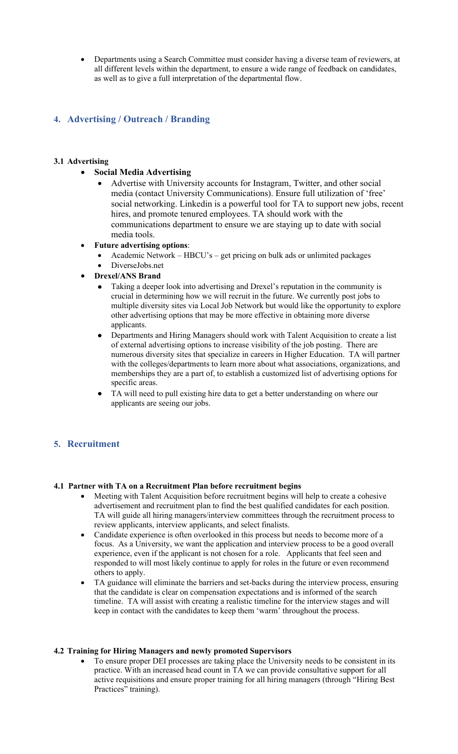• Departments using a Search Committee must consider having a diverse team of reviewers, at all different levels within the department, to ensure a wide range of feedback on candidates, as well as to give a full interpretation of the departmental flow.

# **4. Advertising / Outreach / Branding**

## **3.1 Advertising**

- **Social Media Advertising**
	- Advertise with University accounts for Instagram, Twitter, and other social media (contact University Communications). Ensure full utilization of 'free' social networking. Linkedin is a powerful tool for TA to support new jobs, recent hires, and promote tenured employees. TA should work with the communications department to ensure we are staying up to date with social media tools.
- **Future advertising options**:
	- Academic Network HBCU's get pricing on bulk ads or unlimited packages
	- DiverseJobs.net
	- **Drexel/ANS Brand**
		- Taking a deeper look into advertising and Drexel's reputation in the community is crucial in determining how we will recruit in the future. We currently post jobs to multiple diversity sites via Local Job Network but would like the opportunity to explore other advertising options that may be more effective in obtaining more diverse applicants.
		- Departments and Hiring Managers should work with Talent Acquisition to create a list of external advertising options to increase visibility of the job posting. There are numerous diversity sites that specialize in careers in Higher Education. TA will partner with the colleges/departments to learn more about what associations, organizations, and memberships they are a part of, to establish a customized list of advertising options for specific areas.
		- TA will need to pull existing hire data to get a better understanding on where our applicants are seeing our jobs.

## **5. Recruitment**

#### **4.1 Partner with TA on a Recruitment Plan before recruitment begins**

- Meeting with Talent Acquisition before recruitment begins will help to create a cohesive advertisement and recruitment plan to find the best qualified candidates for each position. TA will guide all hiring managers/interview committees through the recruitment process to review applicants, interview applicants, and select finalists.
- Candidate experience is often overlooked in this process but needs to become more of a focus. As a University, we want the application and interview process to be a good overall experience, even if the applicant is not chosen for a role. Applicants that feel seen and responded to will most likely continue to apply for roles in the future or even recommend others to apply.
- TA guidance will eliminate the barriers and set-backs during the interview process, ensuring that the candidate is clear on compensation expectations and is informed of the search timeline. TA will assist with creating a realistic timeline for the interview stages and will keep in contact with the candidates to keep them 'warm' throughout the process.

#### **4.2 Training for Hiring Managers and newly promoted Supervisors**

• To ensure proper DEI processes are taking place the University needs to be consistent in its practice. With an increased head count in TA we can provide consultative support for all active requisitions and ensure proper training for all hiring managers (through "Hiring Best Practices" training).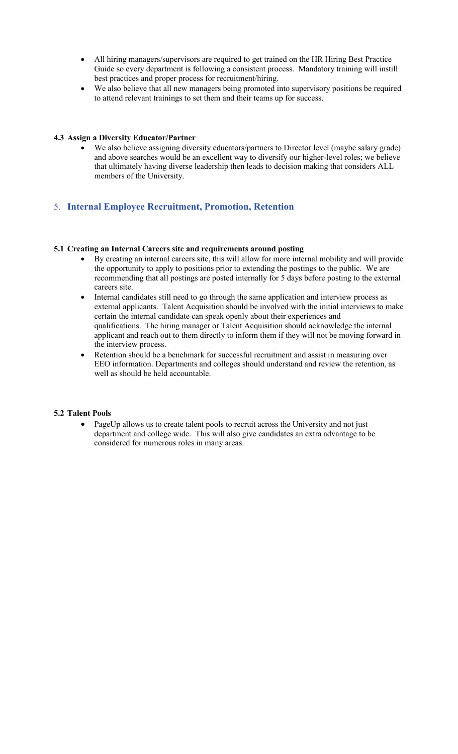- All hiring managers/supervisors are required to get trained on the HR Hiring Best Practice Guide so every department is following a consistent process. Mandatory training will instill best practices and proper process for recruitment/hiring.
- We also believe that all new managers being promoted into supervisory positions be required to attend relevant trainings to set them and their teams up for success.

### **4.3 Assign a Diversity Educator/Partner**

• We also believe assigning diversity educators/partners to Director level (maybe salary grade) and above searches would be an excellent way to diversify our higher-level roles; we believe that ultimately having diverse leadership then leads to decision making that considers ALL members of the University.

## 5. **Internal Employee Recruitment, Promotion, Retention**

#### **5.1 Creating an Internal Careers site and requirements around posting**

- By creating an internal careers site, this will allow for more internal mobility and will provide the opportunity to apply to positions prior to extending the postings to the public. We are recommending that all postings are posted internally for 5 days before posting to the external careers site.
- Internal candidates still need to go through the same application and interview process as external applicants. Talent Acquisition should be involved with the initial interviews to make certain the internal candidate can speak openly about their experiences and qualifications. The hiring manager or Talent Acquisition should acknowledge the internal applicant and reach out to them directly to inform them if they will not be moving forward in the interview process.
- Retention should be a benchmark for successful recruitment and assist in measuring over EEO information. Departments and colleges should understand and review the retention, as well as should be held accountable.

#### **5.2 Talent Pools**

• PageUp allows us to create talent pools to recruit across the University and not just department and college wide. This will also give candidates an extra advantage to be considered for numerous roles in many areas.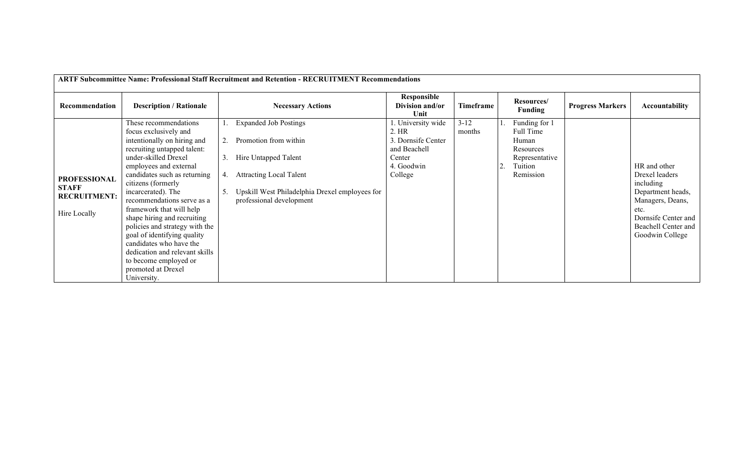| ARTF Subcommittee Name: Professional Staff Recruitment and Retention - RECRUITMENT Recommendations |                                                                                                                                                                                                                                                                                                                                                                                                                                                                                                                  |          |                                                                                                                                                                                               |                                                                                                     |                    |  |                                                                                            |                         |                                                                                                                                                               |  |
|----------------------------------------------------------------------------------------------------|------------------------------------------------------------------------------------------------------------------------------------------------------------------------------------------------------------------------------------------------------------------------------------------------------------------------------------------------------------------------------------------------------------------------------------------------------------------------------------------------------------------|----------|-----------------------------------------------------------------------------------------------------------------------------------------------------------------------------------------------|-----------------------------------------------------------------------------------------------------|--------------------|--|--------------------------------------------------------------------------------------------|-------------------------|---------------------------------------------------------------------------------------------------------------------------------------------------------------|--|
| Recommendation                                                                                     | <b>Description / Rationale</b>                                                                                                                                                                                                                                                                                                                                                                                                                                                                                   |          | <b>Necessary Actions</b>                                                                                                                                                                      | Responsible<br>Division and/or<br>Unit                                                              | Timeframe          |  | Resources/<br><b>Funding</b>                                                               | <b>Progress Markers</b> | <b>Accountability</b>                                                                                                                                         |  |
| <b>PROFESSIONAL</b><br><b>STAFF</b><br><b>RECRUITMENT:</b><br>Hire Locally                         | These recommendations<br>focus exclusively and<br>intentionally on hiring and<br>recruiting untapped talent:<br>under-skilled Drexel<br>employees and external<br>candidates such as returning<br>citizens (formerly<br>incarcerated). The<br>recommendations serve as a<br>framework that will help<br>shape hiring and recruiting<br>policies and strategy with the<br>goal of identifying quality<br>candidates who have the<br>dedication and relevant skills<br>to become employed or<br>promoted at Drexel | 3.<br>4. | <b>Expanded Job Postings</b><br>Promotion from within<br>Hire Untapped Talent<br><b>Attracting Local Talent</b><br>Upskill West Philadelphia Drexel employees for<br>professional development | . University wide<br>2. HR<br>3. Dornsife Center<br>and Beachell<br>Center<br>4. Goodwin<br>College | $3 - 12$<br>months |  | Funding for 1<br>Full Time<br>Human<br>Resources<br>Representative<br>Tuition<br>Remission |                         | HR and other<br>Drexel leaders<br>including<br>Department heads,<br>Managers, Deans,<br>etc.<br>Dornsife Center and<br>Beachell Center and<br>Goodwin College |  |
|                                                                                                    | University.                                                                                                                                                                                                                                                                                                                                                                                                                                                                                                      |          |                                                                                                                                                                                               |                                                                                                     |                    |  |                                                                                            |                         |                                                                                                                                                               |  |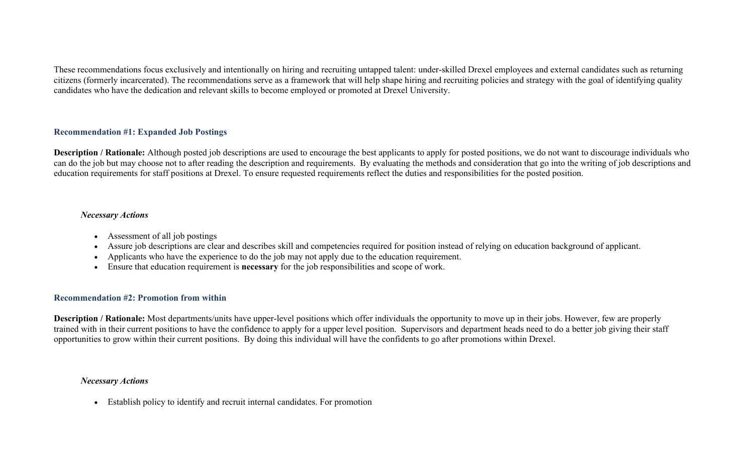These recommendations focus exclusively and intentionally on hiring and recruiting untapped talent: under-skilled Drexel employees and external candidates such as returning citizens (formerly incarcerated). The recommendations serve as a framework that will help shape hiring and recruiting policies and strategy with the goal of identifying quality candidates who have the dedication and relevant skills to become employed or promoted at Drexel University.

## **Recommendation #1: Expanded Job Postings**

**Description / Rationale:** Although posted job descriptions are used to encourage the best applicants to apply for posted positions, we do not want to discourage individuals who can do the job but may choose not to after reading the description and requirements. By evaluating the methods and consideration that go into the writing of job descriptions and education requirements for staff positions at Drexel. To ensure requested requirements reflect the duties and responsibilities for the posted position.

### *Necessary Actions*

- Assessment of all job postings
- Assure job descriptions are clear and describes skill and competencies required for position instead of relying on education background of applicant.
- Applicants who have the experience to do the job may not apply due to the education requirement.
- Ensure that education requirement is **necessary** for the job responsibilities and scope of work.

### **Recommendation #2: Promotion from within**

**Description / Rationale:** Most departments/units have upper-level positions which offer individuals the opportunity to move up in their jobs. However, few are properly trained with in their current positions to have the confidence to apply for a upper level position. Supervisors and department heads need to do a better job giving their staff opportunities to grow within their current positions. By doing this individual will have the confidents to go after promotions within Drexel.

## *Necessary Actions*

• Establish policy to identify and recruit internal candidates. For promotion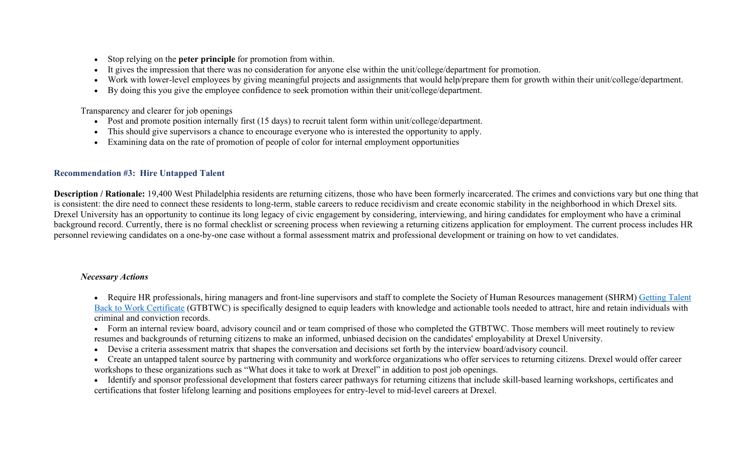- Stop relying on the **peter principle** for promotion from within.
- It gives the impression that there was no consideration for anyone else within the unit/college/department for promotion.
- Work with lower-level employees by giving meaningful projects and assignments that would help/prepare them for growth within their unit/college/department.
- By doing this you give the employee confidence to seek promotion within their unit/college/department.

Transparency and clearer for job openings

- Post and promote position internally first (15 days) to recruit talent form within unit/college/department.
- This should give supervisors a chance to encourage everyone who is interested the opportunity to apply.
- Examining data on the rate of promotion of people of color for internal employment opportunities

# **Recommendation #3: Hire Untapped Talent**

**Description / Rationale:** 19,400 West Philadelphia residents are returning citizens, those who have been formerly incarcerated. The crimes and convictions vary but one thing that is consistent: the dire need to connect these residents to long-term, stable careers to reduce recidivism and create economic stability in the neighborhood in which Drexel sits. Drexel University has an opportunity to continue its long legacy of civic engagement by considering, interviewing, and hiring candidates for employment who have a criminal background record. Currently, there is no formal checklist or screening process when reviewing a returning citizens application for employment. The current process includes HR personnel reviewing candidates on a one-by-one case without a formal assessment matrix and professional development or training on how to vet candidates.

# *Necessary Actions*

• Require HR professionals, hiring managers and front-line supervisors and staff to complete the Society of Human Resources management (SHRM) Getting Talent [Back to Work Certificate](https://store.shrm.org/Getting-Talent-Back-to-Work-Certificate) (GTBTWC) is specifically designed to equip leaders with knowledge and actionable tools needed to attract, hire and retain individuals with criminal and conviction records.

- Form an internal review board, advisory council and or team comprised of those who completed the GTBTWC. Those members will meet routinely to review resumes and backgrounds of returning citizens to make an informed, unbiased decision on the candidates' employability at Drexel University.
- Devise a criteria assessment matrix that shapes the conversation and decisions set forth by the interview board/advisory council.
- Create an untapped talent source by partnering with community and workforce organizations who offer services to returning citizens. Drexel would offer career workshops to these organizations such as "What does it take to work at Drexel" in addition to post job openings.
- Identify and sponsor professional development that fosters career pathways for returning citizens that include skill-based learning workshops, certificates and certifications that foster lifelong learning and positions employees for entry-level to mid-level careers at Drexel.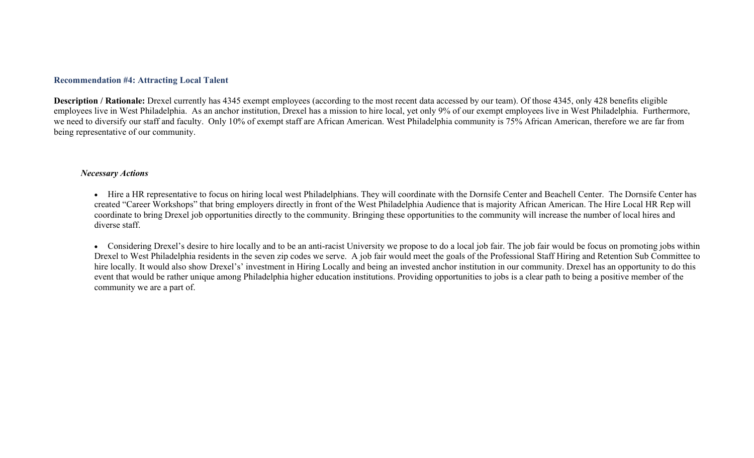#### **Recommendation #4: Attracting Local Talent**

**Description / Rationale:** Drexel currently has 4345 exempt employees (according to the most recent data accessed by our team). Of those 4345, only 428 benefits eligible employees live in West Philadelphia. As an anchor institution, Drexel has a mission to hire local, yet only 9% of our exempt employees live in West Philadelphia. Furthermore, we need to diversify our staff and faculty. Only 10% of exempt staff are African American. West Philadelphia community is 75% African American, therefore we are far from being representative of our community.

### *Necessary Actions*

• Hire a HR representative to focus on hiring local west Philadelphians. They will coordinate with the Dornsife Center and Beachell Center. The Dornsife Center has created "Career Workshops" that bring employers directly in front of the West Philadelphia Audience that is majority African American. The Hire Local HR Rep will coordinate to bring Drexel job opportunities directly to the community. Bringing these opportunities to the community will increase the number of local hires and diverse staff.

• Considering Drexel's desire to hire locally and to be an anti-racist University we propose to do a local job fair. The job fair would be focus on promoting jobs within Drexel to West Philadelphia residents in the seven zip codes we serve. A job fair would meet the goals of the Professional Staff Hiring and Retention Sub Committee to hire locally. It would also show Drexel's' investment in Hiring Locally and being an invested anchor institution in our community. Drexel has an opportunity to do this event that would be rather unique among Philadelphia higher education institutions. Providing opportunities to jobs is a clear path to being a positive member of the community we are a part of.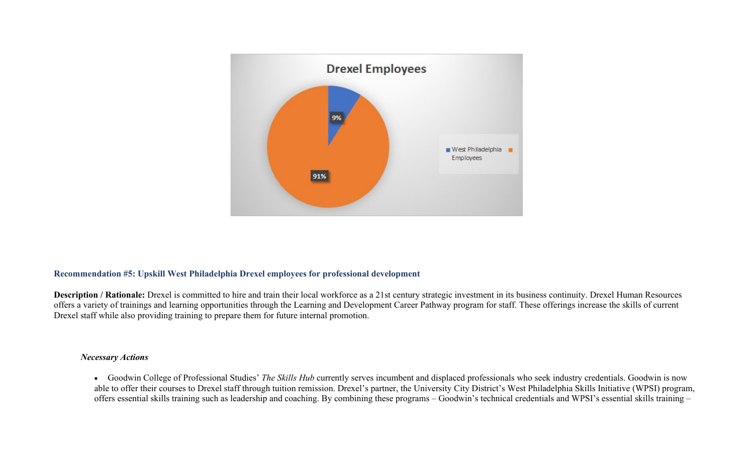

### **Recommendation #5: Upskill West Philadelphia Drexel employees for professional development**

**Description / Rationale:** Drexel is committed to hire and train their local workforce as a 21st century strategic investment in its business continuity. Drexel Human Resources offers a variety of trainings and learning opportunities through the Learning and Development Career Pathway program for staff. These offerings increase the skills of current Drexel staff while also providing training to prepare them for future internal promotion.

#### *Necessary Actions*

• Goodwin College of Professional Studies' *The Skills Hub* currently serves incumbent and displaced professionals who seek industry credentials. Goodwin is now able to offer their courses to Drexel staff through tuition remission. Drexel's partner, the University City District's West Philadelphia Skills Initiative (WPSI) program, offers essential skills training such as leadership and coaching. By combining these programs – Goodwin's technical credentials and WPSI's essential skills training –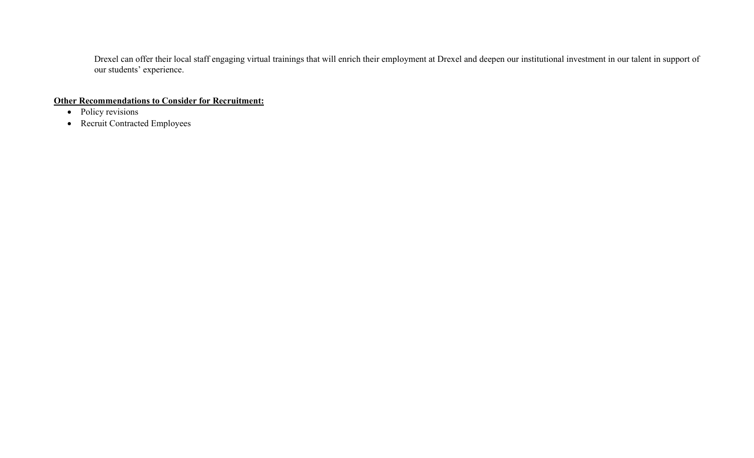Drexel can offer their local staff engaging virtual trainings that will enrich their employment at Drexel and deepen our institutional investment in our talent in support of our students' experience.

**Other Recommendations to Consider for Recruitment:**

- Policy revisions
- Recruit Contracted Employees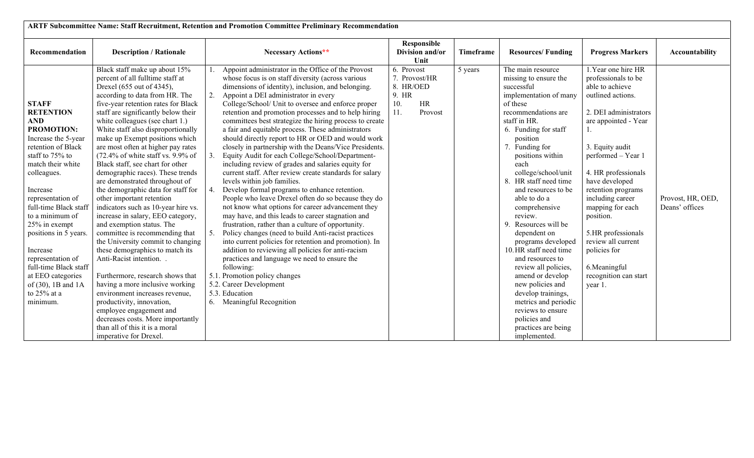| ARTF Subcommittee Name: Staff Recruitment, Retention and Promotion Committee Preliminary Recommendation                                                                                                                                                                                                                                                                                                                             |                                                                                                                                                                                                                                                                                                                                                                                                                                                                                                                                                                                                                                                                                                                                                                                                                                                                                                                                                                                                                                                                                                |                                                                                                                                                                                                                                                                                                                                                                                                                                                                                                                                                                                                                                                                                                                                                                                                                                                                                                                                                                                                                                                                                                                                                                                                                                                                                                                                                                                           |                                                                                  |                  |                                                                                                                                                                                                                                                                                                                                                                                                                                                                                                                                                                                                                                  |                                                                                                                                                                                                                                                                                                                                                                                                                        |                                     |  |  |  |
|-------------------------------------------------------------------------------------------------------------------------------------------------------------------------------------------------------------------------------------------------------------------------------------------------------------------------------------------------------------------------------------------------------------------------------------|------------------------------------------------------------------------------------------------------------------------------------------------------------------------------------------------------------------------------------------------------------------------------------------------------------------------------------------------------------------------------------------------------------------------------------------------------------------------------------------------------------------------------------------------------------------------------------------------------------------------------------------------------------------------------------------------------------------------------------------------------------------------------------------------------------------------------------------------------------------------------------------------------------------------------------------------------------------------------------------------------------------------------------------------------------------------------------------------|-------------------------------------------------------------------------------------------------------------------------------------------------------------------------------------------------------------------------------------------------------------------------------------------------------------------------------------------------------------------------------------------------------------------------------------------------------------------------------------------------------------------------------------------------------------------------------------------------------------------------------------------------------------------------------------------------------------------------------------------------------------------------------------------------------------------------------------------------------------------------------------------------------------------------------------------------------------------------------------------------------------------------------------------------------------------------------------------------------------------------------------------------------------------------------------------------------------------------------------------------------------------------------------------------------------------------------------------------------------------------------------------|----------------------------------------------------------------------------------|------------------|----------------------------------------------------------------------------------------------------------------------------------------------------------------------------------------------------------------------------------------------------------------------------------------------------------------------------------------------------------------------------------------------------------------------------------------------------------------------------------------------------------------------------------------------------------------------------------------------------------------------------------|------------------------------------------------------------------------------------------------------------------------------------------------------------------------------------------------------------------------------------------------------------------------------------------------------------------------------------------------------------------------------------------------------------------------|-------------------------------------|--|--|--|
| Recommendation                                                                                                                                                                                                                                                                                                                                                                                                                      | <b>Description / Rationale</b>                                                                                                                                                                                                                                                                                                                                                                                                                                                                                                                                                                                                                                                                                                                                                                                                                                                                                                                                                                                                                                                                 | Necessary Actions**                                                                                                                                                                                                                                                                                                                                                                                                                                                                                                                                                                                                                                                                                                                                                                                                                                                                                                                                                                                                                                                                                                                                                                                                                                                                                                                                                                       | Responsible<br>Division and/or<br>Unit                                           | <b>Timeframe</b> | <b>Resources/Funding</b>                                                                                                                                                                                                                                                                                                                                                                                                                                                                                                                                                                                                         | <b>Progress Markers</b>                                                                                                                                                                                                                                                                                                                                                                                                | Accountability                      |  |  |  |
| <b>STAFF</b><br><b>RETENTION</b><br><b>AND</b><br><b>PROMOTION:</b><br>Increase the 5-year<br>retention of Black<br>staff to 75% to<br>match their white<br>colleagues.<br>Increase<br>representation of<br>full-time Black staff<br>to a minimum of<br>25% in exempt<br>positions in 5 years.<br>Increase<br>representation of<br>full-time Black staff<br>at EEO categories<br>of $(30)$ , 1B and 1A<br>to $25%$ at a<br>minimum. | Black staff make up about 15%<br>percent of all fulltime staff at<br>Drexel (655 out of 4345),<br>according to data from HR. The<br>five-year retention rates for Black<br>staff are significantly below their<br>white colleagues (see chart 1.)<br>White staff also disproportionally<br>make up Exempt positions which<br>are most often at higher pay rates<br>$(72.4\% \text{ of white staff vs. } 9.9\% \text{ of }$<br>Black staff, see chart for other<br>demographic races). These trends<br>are demonstrated throughout of<br>the demographic data for staff for<br>other important retention<br>indicators such as 10-year hire vs.<br>increase in salary, EEO category,<br>and exemption status. The<br>committee is recommending that<br>the University commit to changing<br>these demographics to match its<br>Anti-Racist intention. .<br>Furthermore, research shows that<br>having a more inclusive working<br>environment increases revenue,<br>productivity, innovation,<br>employee engagement and<br>decreases costs. More importantly<br>than all of this it is a moral | Appoint administrator in the Office of the Provost<br>whose focus is on staff diversity (across various<br>dimensions of identity), inclusion, and belonging.<br>Appoint a DEI administrator in every<br>2.<br>College/School/ Unit to oversee and enforce proper<br>retention and promotion processes and to help hiring<br>committees best strategize the hiring process to create<br>a fair and equitable process. These administrators<br>should directly report to HR or OED and would work<br>closely in partnership with the Deans/Vice Presidents.<br>Equity Audit for each College/School/Department-<br>including review of grades and salaries equity for<br>current staff. After review create standards for salary<br>levels within job families.<br>4. Develop formal programs to enhance retention.<br>People who leave Drexel often do so because they do<br>not know what options for career advancement they<br>may have, and this leads to career stagnation and<br>frustration, rather than a culture of opportunity.<br>Policy changes (need to build Anti-racist practices<br>into current policies for retention and promotion). In<br>addition to reviewing all policies for anti-racism<br>practices and language we need to ensure the<br>following:<br>5.1. Promotion policy changes<br>5.2. Career Development<br>5.3. Education<br>6. Meaningful Recognition | 6. Provost<br>7. Provost/HR<br>8. HR/OED<br>9. HR<br>10.<br>HR<br>11.<br>Provost | 5 years          | The main resource<br>missing to ensure the<br>successful<br>implementation of many<br>of these<br>recommendations are<br>staff in HR.<br>6. Funding for staff<br>position<br>7. Funding for<br>positions within<br>each<br>college/school/unit<br>8. HR staff need time<br>and resources to be<br>able to do a<br>comprehensive<br>review.<br>9. Resources will be<br>dependent on<br>programs developed<br>10. HR staff need time<br>and resources to<br>review all policies,<br>amend or develop<br>new policies and<br>develop trainings,<br>metrics and periodic<br>reviews to ensure<br>policies and<br>practices are being | 1. Year one hire HR<br>professionals to be<br>able to achieve<br>outlined actions.<br>2. DEI administrators<br>are appointed - Year<br>1.<br>3. Equity audit<br>performed - Year 1<br>4. HR professionals<br>have developed<br>retention programs<br>including career<br>mapping for each<br>position.<br>5.HR professionals<br>review all current<br>policies for<br>6.Meaningful<br>recognition can start<br>year 1. | Provost, HR, OED,<br>Deans' offices |  |  |  |
|                                                                                                                                                                                                                                                                                                                                                                                                                                     | imperative for Drexel.                                                                                                                                                                                                                                                                                                                                                                                                                                                                                                                                                                                                                                                                                                                                                                                                                                                                                                                                                                                                                                                                         |                                                                                                                                                                                                                                                                                                                                                                                                                                                                                                                                                                                                                                                                                                                                                                                                                                                                                                                                                                                                                                                                                                                                                                                                                                                                                                                                                                                           |                                                                                  |                  | implemented.                                                                                                                                                                                                                                                                                                                                                                                                                                                                                                                                                                                                                     |                                                                                                                                                                                                                                                                                                                                                                                                                        |                                     |  |  |  |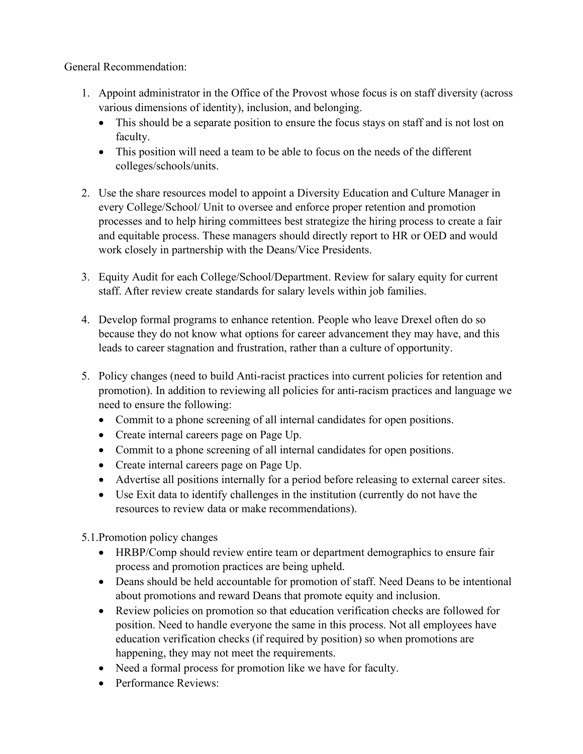General Recommendation:

- 1. Appoint administrator in the Office of the Provost whose focus is on staff diversity (across various dimensions of identity), inclusion, and belonging.
	- This should be a separate position to ensure the focus stays on staff and is not lost on faculty.
	- This position will need a team to be able to focus on the needs of the different colleges/schools/units.
- 2. Use the share resources model to appoint a Diversity Education and Culture Manager in every College/School/ Unit to oversee and enforce proper retention and promotion processes and to help hiring committees best strategize the hiring process to create a fair and equitable process. These managers should directly report to HR or OED and would work closely in partnership with the Deans/Vice Presidents.
- 3. Equity Audit for each College/School/Department. Review for salary equity for current staff. After review create standards for salary levels within job families.
- 4. Develop formal programs to enhance retention. People who leave Drexel often do so because they do not know what options for career advancement they may have, and this leads to career stagnation and frustration, rather than a culture of opportunity.
- 5. Policy changes (need to build Anti-racist practices into current policies for retention and promotion). In addition to reviewing all policies for anti-racism practices and language we need to ensure the following:
	- Commit to a phone screening of all internal candidates for open positions.
	- Create internal careers page on Page Up.
	- Commit to a phone screening of all internal candidates for open positions.
	- Create internal careers page on Page Up.
	- Advertise all positions internally for a period before releasing to external career sites.
	- Use Exit data to identify challenges in the institution (currently do not have the resources to review data or make recommendations).
- 5.1.Promotion policy changes
	- HRBP/Comp should review entire team or department demographics to ensure fair process and promotion practices are being upheld.
	- Deans should be held accountable for promotion of staff. Need Deans to be intentional about promotions and reward Deans that promote equity and inclusion.
	- Review policies on promotion so that education verification checks are followed for position. Need to handle everyone the same in this process. Not all employees have education verification checks (if required by position) so when promotions are happening, they may not meet the requirements.
	- Need a formal process for promotion like we have for faculty.
	- Performance Reviews: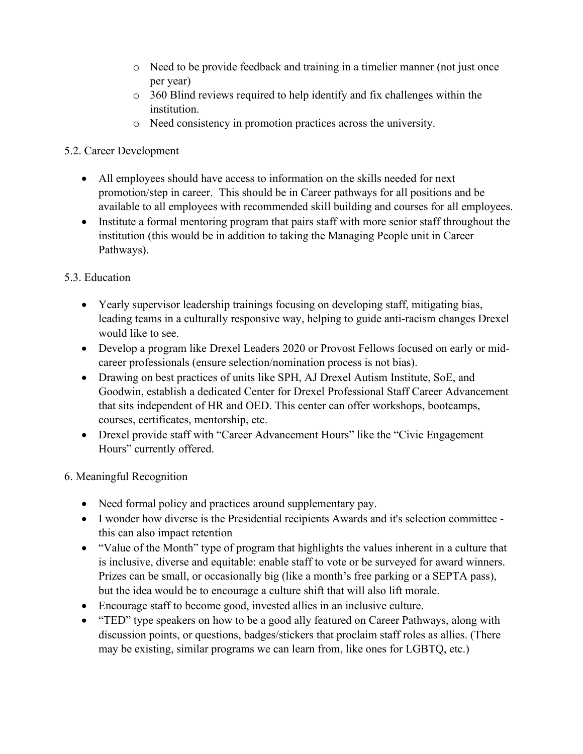- o Need to be provide feedback and training in a timelier manner (not just once per year)
- o 360 Blind reviews required to help identify and fix challenges within the institution.
- o Need consistency in promotion practices across the university.

# 5.2. Career Development

- All employees should have access to information on the skills needed for next promotion/step in career. This should be in Career pathways for all positions and be available to all employees with recommended skill building and courses for all employees.
- Institute a formal mentoring program that pairs staff with more senior staff throughout the institution (this would be in addition to taking the Managing People unit in Career Pathways).

# 5.3. Education

- Yearly supervisor leadership trainings focusing on developing staff, mitigating bias, leading teams in a culturally responsive way, helping to guide anti-racism changes Drexel would like to see.
- Develop a program like Drexel Leaders 2020 or Provost Fellows focused on early or midcareer professionals (ensure selection/nomination process is not bias).
- Drawing on best practices of units like SPH, AJ Drexel Autism Institute, SoE, and Goodwin, establish a dedicated Center for Drexel Professional Staff Career Advancement that sits independent of HR and OED. This center can offer workshops, bootcamps, courses, certificates, mentorship, etc.
- Drexel provide staff with "Career Advancement Hours" like the "Civic Engagement" Hours" currently offered.

# 6. Meaningful Recognition

- Need formal policy and practices around supplementary pay.
- I wonder how diverse is the Presidential recipients Awards and it's selection committee this can also impact retention
- "Value of the Month" type of program that highlights the values inherent in a culture that is inclusive, diverse and equitable: enable staff to vote or be surveyed for award winners. Prizes can be small, or occasionally big (like a month's free parking or a SEPTA pass), but the idea would be to encourage a culture shift that will also lift morale.
- Encourage staff to become good, invested allies in an inclusive culture.
- "TED" type speakers on how to be a good ally featured on Career Pathways, along with discussion points, or questions, badges/stickers that proclaim staff roles as allies. (There may be existing, similar programs we can learn from, like ones for LGBTQ, etc.)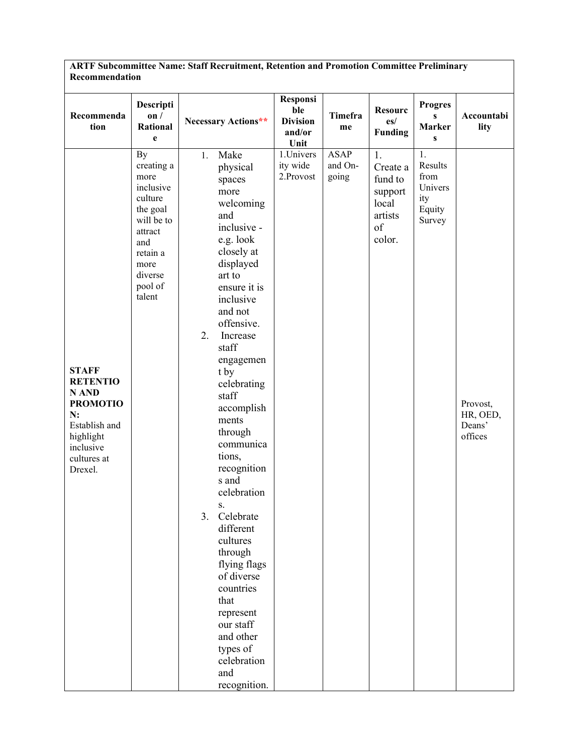| ARTF Subcommittee Name: Staff Recruitment, Retention and Promotion Committee Preliminary<br>Recommendation                             |                                                                                                                                                  |                                                                                                                                                                                                                                                                                                                                                                                                                                                                                                                                                                   |                                                      |                                 |                                                                          |                                                             |                                           |  |  |  |
|----------------------------------------------------------------------------------------------------------------------------------------|--------------------------------------------------------------------------------------------------------------------------------------------------|-------------------------------------------------------------------------------------------------------------------------------------------------------------------------------------------------------------------------------------------------------------------------------------------------------------------------------------------------------------------------------------------------------------------------------------------------------------------------------------------------------------------------------------------------------------------|------------------------------------------------------|---------------------------------|--------------------------------------------------------------------------|-------------------------------------------------------------|-------------------------------------------|--|--|--|
| Recommenda<br>tion                                                                                                                     | Descripti<br>on/<br><b>Rational</b><br>e                                                                                                         | Necessary Actions**                                                                                                                                                                                                                                                                                                                                                                                                                                                                                                                                               | Responsi<br>ble<br><b>Division</b><br>and/or<br>Unit | Timefra<br>me                   | <b>Resourc</b><br>es/<br><b>Funding</b>                                  | <b>Progres</b><br>S<br><b>Marker</b><br>$\mathbf{s}$        | Accountabi<br>lity                        |  |  |  |
| <b>STAFF</b><br><b>RETENTIO</b><br>N AND<br><b>PROMOTIO</b><br>N:<br>Establish and<br>highlight<br>inclusive<br>cultures at<br>Drexel. | By<br>creating a<br>more<br>inclusive<br>culture<br>the goal<br>will be to<br>attract<br>and<br>retain a<br>more<br>diverse<br>pool of<br>talent | Make<br>1.<br>physical<br>spaces<br>more<br>welcoming<br>and<br>inclusive -<br>e.g. look<br>closely at<br>displayed<br>art to<br>ensure it is<br>inclusive<br>and not<br>offensive.<br>2.<br>Increase<br>staff<br>engagemen<br>t by<br>celebrating<br>staff<br>accomplish<br>ments<br>through<br>communica<br>tions,<br>recognition<br>s and<br>celebration<br>S.<br>3. Celebrate<br>different<br>cultures<br>through<br>flying flags<br>of diverse<br>countries<br>that<br>represent<br>our staff<br>and other<br>types of<br>celebration<br>and<br>recognition. | 1.Univers<br>ity wide<br>2.Provost                   | <b>ASAP</b><br>and On-<br>going | 1.<br>Create a<br>fund to<br>support<br>local<br>artists<br>of<br>color. | 1.<br>Results<br>from<br>Univers<br>ity<br>Equity<br>Survey | Provost,<br>HR, OED,<br>Deans'<br>offices |  |  |  |